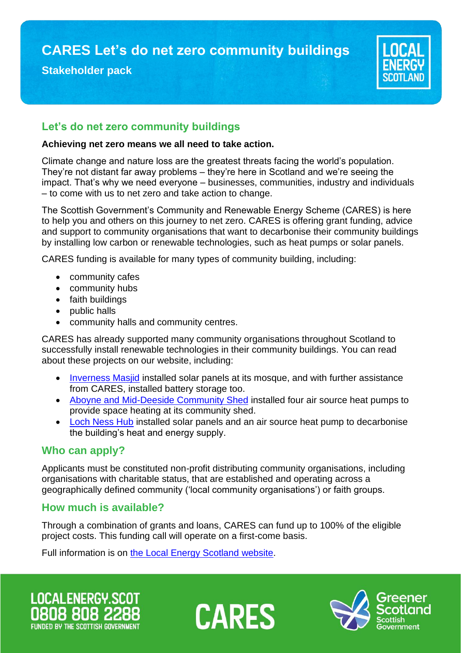**CARES Let's do net zero community buildings**

## **Stakeholder pack**

# **Let's do net zero community buildings**

#### **Achieving net zero means we all need to take action.**

Climate change and nature loss are the greatest threats facing the world's population. They're not distant far away problems – they're here in Scotland and we're seeing the impact. That's why we need everyone – businesses, communities, industry and individuals – to come with us to net zero and take action to change.

The Scottish Government's Community and Renewable Energy Scheme (CARES) is here to help you and others on this journey to net zero. CARES is offering grant funding, advice and support to community organisations that want to decarbonise their community buildings by installing low carbon or renewable technologies, such as heat pumps or solar panels.

CARES funding is available for many types of community building, including:

- community cafes
- community hubs
- faith buildings
- public halls
- community halls and community centres.

CARES has already supported many community organisations throughout Scotland to successfully install renewable technologies in their community buildings. You can read about these projects on our website, including:

- [Inverness Masjid](https://www.localenergy.scot/projects-and-case-studies/case-studies/community-owned/solar-connected-communities-inverness-masjid/) installed solar panels at its mosque, and with further assistance from CARES, installed battery storage too.
- [Aboyne and Mid-Deeside Community Shed](https://www.localenergy.scot/projects-and-case-studies/case-studies/locally-owned/the-aboyne-and-mid-deeside-community-shed/) installed four air source heat pumps to provide space heating at its community shed.
- [Loch Ness Hub](https://www.localenergy.scot/projects-and-case-studies/case-studies/community-owned/loch-ness-hub/) installed solar panels and an air source heat pump to decarbonise the building's heat and energy supply.

## **Who can apply?**

Applicants must be constituted non-profit distributing community organisations, including organisations with charitable status, that are established and operating across a geographically defined community ('local community organisations') or faith groups.

# **How much is available?**

Through a combination of grants and loans, CARES can fund up to 100% of the eligible project costs. This funding call will operate on a first-come basis.

Full information is on [the Local Energy Scotland website.](https://www.localenergy.scot/funding/lets-do-net-zero-community-buildings/)

**LOCALENERGY.SCO FUNDED BY THE SCOTTISH GOVERNMENT** 



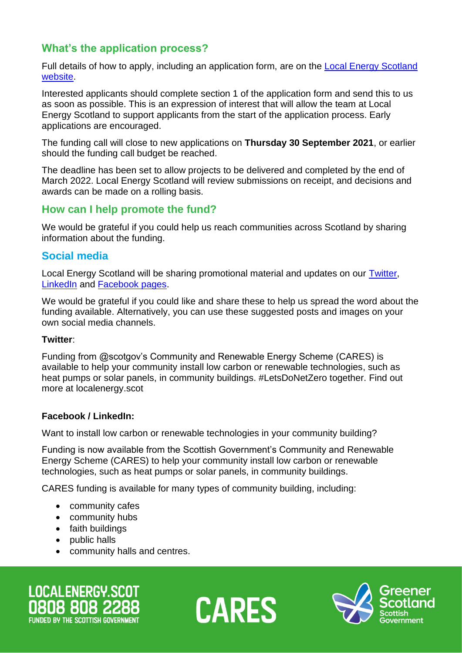# **What's the application process?**

Full details of how to apply, including an application form, are on the [Local Energy Scotland](https://www.localenergy.scot/funding/lets-do-net-zero-community-buildings/)  [website.](https://www.localenergy.scot/funding/lets-do-net-zero-community-buildings/)

Interested applicants should complete section 1 of the application form and send this to us as soon as possible. This is an expression of interest that will allow the team at Local Energy Scotland to support applicants from the start of the application process. Early applications are encouraged.

The funding call will close to new applications on **Thursday 30 September 2021**, or earlier should the funding call budget be reached.

The deadline has been set to allow projects to be delivered and completed by the end of March 2022. Local Energy Scotland will review submissions on receipt, and decisions and awards can be made on a rolling basis.

## **How can I help promote the fund?**

We would be grateful if you could help us reach communities across Scotland by sharing information about the funding.

## **Social media**

Local Energy Scotland will be sharing promotional material and updates on our [Twitter,](https://twitter.com/localenergysco) [LinkedIn](https://www.linkedin.com/company-beta/5082540/) and [Facebook pages.](http://www.facebook.com/localenergyscotland)

We would be grateful if you could like and share these to help us spread the word about the funding available. Alternatively, you can use these suggested posts and images on your own social media channels.

### **Twitter**:

Funding from @scotgov's Community and Renewable Energy Scheme (CARES) is available to help your community install low carbon or renewable technologies, such as heat pumps or solar panels, in community buildings. #LetsDoNetZero together. Find out more at localenergy.scot

### **Facebook / LinkedIn:**

Want to install low carbon or renewable technologies in your community building?

Funding is now available from the Scottish Government's Community and Renewable Energy Scheme (CARES) to help your community install low carbon or renewable technologies, such as heat pumps or solar panels, in community buildings.

CARES funding is available for many types of community building, including:

- community cafes
- community hubs
- faith buildings
- public halls
- community halls and centres.

**LOCALENERGY.SCOT FUNDED BY THE SCOTTISH GOVERNMENT** 



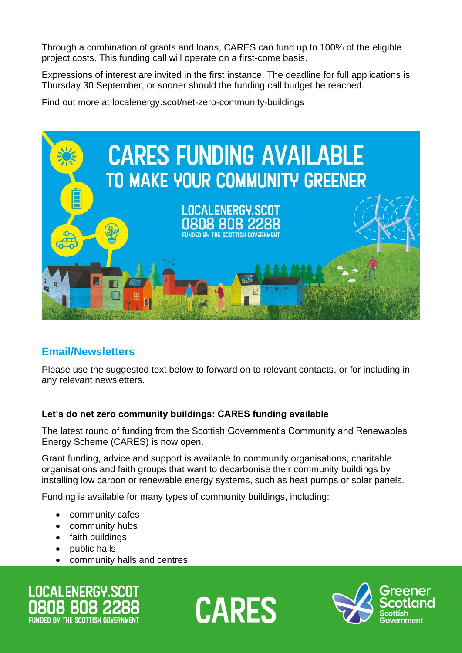Through a combination of grants and loans, CARES can fund up to 100% of the eligible project costs. This funding call will operate on a first-come basis.

Expressions of interest are invited in the first instance. The deadline for full applications is Thursday 30 September, or sooner should the funding call budget be reached.

Find out more at localenergy.scot/net-zero-community-buildings



# **Email/Newsletters**

Please use the suggested text below to forward on to relevant contacts, or for including in any relevant newsletters.

### **Let's do net zero community buildings: CARES funding available**

The latest round of funding from the Scottish Government's Community and Renewables Energy Scheme (CARES) is now open.

Grant funding, advice and support is available to community organisations, charitable organisations and faith groups that want to decarbonise their community buildings by installing low carbon or renewable energy systems, such as heat pumps or solar panels.

Funding is available for many types of community buildings, including:

- community cafes
- community hubs
- faith buildings
- public halls
- community halls and centres.